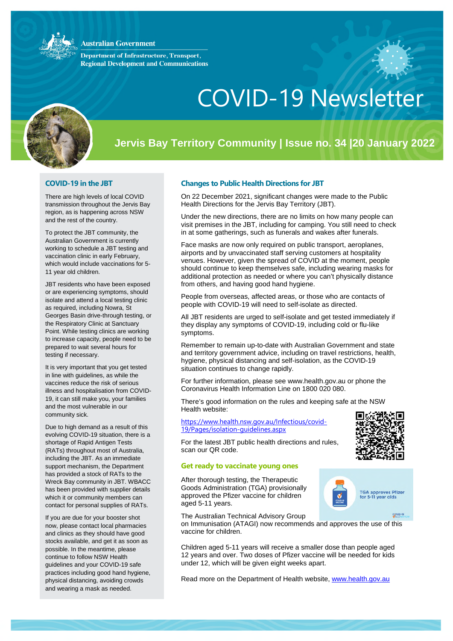#### **Australian Government**

**Department of Infrastructure, Transport, Regional Development and Communications** 



# COVID-19 Newsletter

## **Jervis Bay Territory Community | Issue no. 34 |20 January 2022**

#### **COVID-19 in the JBT**

There are high levels of local COVID transmission throughout the Jervis Bay region, as is happening across NSW and the rest of the country.

To protect the JBT community, the Australian Government is currently working to schedule a JBT testing and vaccination clinic in early February, which would include vaccinations for 5- 11 year old children.

JBT residents who have been exposed or are experiencing symptoms, should isolate and attend a local testing clinic as required, including Nowra, St Georges Basin drive-through testing, or the Respiratory Clinic at Sanctuary Point. While testing clinics are working to increase capacity, people need to be prepared to wait several hours for testing if necessary.

It is very important that you get tested in line with guidelines, as while the vaccines reduce the risk of serious illness and hospitalisation from COVID-19, it can still make you, your families and the most vulnerable in our community sick.

Due to high demand as a result of this evolving COVID-19 situation, there is a shortage of Rapid Antigen Tests (RATs) throughout most of Australia, including the JBT. As an immediate support mechanism, the Department has provided a stock of RATs to the Wreck Bay community in JBT. WBACC has been provided with supplier details which it or community members can contact for personal supplies of RATs.

If you are due for your booster shot now, please contact local pharmacies and clinics as they should have good stocks available, and get it as soon as possible. In the meantime, please continue to follow NSW Health guidelines and your COVID-19 safe practices including good hand hygiene, physical distancing, avoiding crowds and wearing a mask as needed.

#### **Changes to Public Health Directions for JBT**

On 22 December 2021, significant changes were made to the Public Health Directions for the Jervis Bay Territory (JBT).

Under the new directions, there are no limits on how many people can visit premises in the JBT, including for camping. You still need to check in at some gatherings, such as funerals and wakes after funerals.

Face masks are now only required on public transport, aeroplanes, airports and by unvaccinated staff serving customers at hospitality venues. However, given the spread of COVID at the moment, people should continue to keep themselves safe, including wearing masks for additional protection as needed or where you can't physically distance from others, and having good hand hygiene.

People from overseas, affected areas, or those who are contacts of people with COVID-19 will need to self-isolate as directed.

All JBT residents are urged to self-isolate and get tested immediately if they display any symptoms of COVID-19, including cold or flu-like symptoms.

Remember to remain up-to-date with Australian Government and state and territory government advice, including on travel restrictions, health, hygiene, physical distancing and self-isolation, as the COVID-19 situation continues to change rapidly.

For further information, please see [www.health.gov.au](http://www.health.gov.au/) or phone the Coronavirus Health Information Line on 1800 020 080.

There's good information on the rules and keeping safe at the NSW Health website:

[https://www.health.nsw.gov.au/Infectious/covid-](https://www.health.nsw.gov.au/Infectious/covid-19/Pages/isolation-guidelines.aspx)[19/Pages/isolation-guidelines.aspx](https://www.health.nsw.gov.au/Infectious/covid-19/Pages/isolation-guidelines.aspx)

For the latest JBT public health directions and rules, scan our QR code.

#### **Get ready to vaccinate young ones**

After thorough testing, the Therapeutic Goods Administration (TGA) provisionally approved the Pfizer vaccine for children aged 5-11 years.



TGA approves Pfizer<br>for 5-11 year olds

cpvin-ts

The Australian Technical Advisory Group on Immunisation (ATAGI) now recommends and approves the use of this vaccine for children.

Children aged 5-11 years will receive a smaller dose than people aged 12 years and over. Two doses of Pfizer vaccine will be needed for kids under 12, which will be given eight weeks apart.

[Read more](https://www.health.gov.au/resources/publications/atagi-recommendations-on-pfizer-covid-19-vaccine-use-in-children-aged-5-to-11-years) on the Department of Health website, [www.health.gov.au](http://www.health.gov.au/)